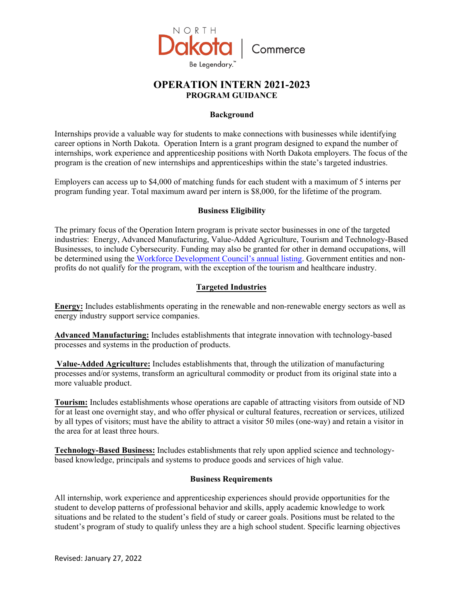

# **OPERATION INTERN 2021-2023 PROGRAM GUIDANCE**

### **Background**

Internships provide a valuable way for students to make connections with businesses while identifying career options in North Dakota. Operation Intern is a grant program designed to expand the number of internships, work experience and apprenticeship positions with North Dakota employers. The focus of the program is the creation of new internships and apprenticeships within the state's targeted industries.

Employers can access up to \$4,000 of matching funds for each student with a maximum of 5 interns per program funding year. Total maximum award per intern is \$8,000, for the lifetime of the program.

#### **Business Eligibility**

The primary focus of the Operation Intern program is private sector businesses in one of the targeted industries: Energy, Advanced Manufacturing, Value-Added Agriculture, Tourism and Technology-Based Businesses, to include Cybersecurity. Funding may also be granted for other in demand occupations, will be determined using the Workforce Development [Council's annual listing.](https://www.workforce.nd.gov/uploads/22/InDemandOccupationsList.pdf) Government entities and nonprofits do not qualify for the program, with the exception of the tourism and healthcare industry.

## **Targeted Industries**

**Energy:** Includes establishments operating in the renewable and non-renewable energy sectors as well as energy industry support service companies.

**Advanced Manufacturing:** Includes establishments that integrate innovation with technology-based processes and systems in the production of products.

**Value-Added Agriculture:** Includes establishments that, through the utilization of manufacturing processes and/or systems, transform an agricultural commodity or product from its original state into a more valuable product.

**Tourism:** Includes establishments whose operations are capable of attracting visitors from outside of ND for at least one overnight stay, and who offer physical or cultural features, recreation or services, utilized by all types of visitors; must have the ability to attract a visitor 50 miles (one-way) and retain a visitor in the area for at least three hours.

**Technology-Based Business:** Includes establishments that rely upon applied science and technologybased knowledge, principals and systems to produce goods and services of high value.

#### **Business Requirements**

All internship, work experience and apprenticeship experiences should provide opportunities for the student to develop patterns of professional behavior and skills, apply academic knowledge to work situations and be related to the student's field of study or career goals. Positions must be related to the student's program of study to qualify unless they are a high school student. Specific learning objectives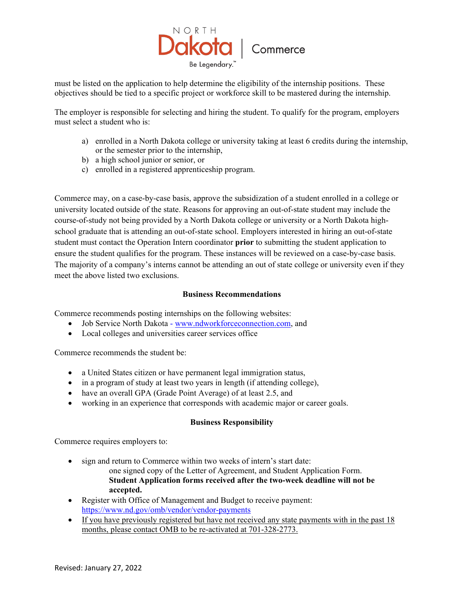

must be listed on the application to help determine the eligibility of the internship positions. These objectives should be tied to a specific project or workforce skill to be mastered during the internship.

The employer is responsible for selecting and hiring the student. To qualify for the program, employers must select a student who is:

- a) enrolled in a North Dakota college or university taking at least 6 credits during the internship, or the semester prior to the internship,
- b) a high school junior or senior, or
- c) enrolled in a registered apprenticeship program.

Commerce may, on a case-by-case basis, approve the subsidization of a student enrolled in a college or university located outside of the state. Reasons for approving an out-of-state student may include the course-of-study not being provided by a North Dakota college or university or a North Dakota highschool graduate that is attending an out-of-state school. Employers interested in hiring an out-of-state student must contact the Operation Intern coordinator **prior** to submitting the student application to ensure the student qualifies for the program. These instances will be reviewed on a case-by-case basis. The majority of a company's interns cannot be attending an out of state college or university even if they meet the above listed two exclusions.

#### **Business Recommendations**

Commerce recommends posting internships on the following websites:

- Job Service North Dakota [www.ndworkforceconnection.com,](http://www.jobsnd.com/) and
- Local colleges and universities career services office

Commerce recommends the student be:

- a United States citizen or have permanent legal immigration status,
- in a program of study at least two years in length (if attending college),
- have an overall GPA (Grade Point Average) of at least 2.5, and
- working in an experience that corresponds with academic major or career goals.

#### **Business Responsibility**

Commerce requires employers to:

- sign and return to Commerce within two weeks of intern's start date: one signed copy of the Letter of Agreement, and Student Application Form. **Student Application forms received after the two-week deadline will not be accepted.**
- Register with Office of Management and Budget to receive payment: <https://www.nd.gov/omb/vendor/vendor-payments>
- If you have previously registered but have not received any state payments with in the past 18 months, please contact OMB to be re-activated at 701-328-2773.